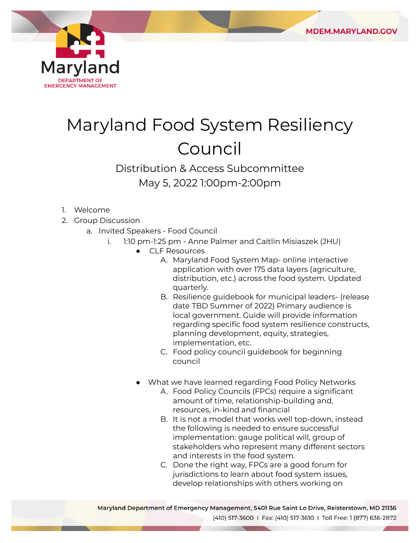

## Maryland Food System Resiliency Council

## Distribution & Access Subcommittee May 5, 2022 1:00pm-2:00pm

- 1. Welcome
- 2. Group Discussion
	- a. Invited Speakers Food Council
		- i. 1:10 pm-1:25 pm Anne Palmer and Caitlin Misiaszek (JHU)
			- CLF Resources
				- A. Maryland Food System Map- online interactive application with over 175 data layers (agriculture, distribution, etc.) across the food system. Updated quarterly.
				- B. Resilience guidebook for municipal leaders- (release date TBD Summer of 2022) Primary audience is local government. Guide will provide information regarding specific food system resilience constructs, planning development, equity, strategies, implementation, etc.
				- C. Food policy council guidebook for beginning council
			- What we have learned regarding Food Policy Networks
				- A. Food Policy Councils (FPCs) require a significant amount of time, relationship-building and, resources, in-kind and financial
				- B. It is not a model that works well top-down, instead the following is needed to ensure successful implementation: gauge political will, group of stakeholders who represent many different sectors and interests in the food system.
				- C. Done the right way, FPCs are a good forum for jurisdictions to learn about food system issues, develop relationships with others working on

Maryland Department of Emergency Management, 5401 Rue Saint Lo Drive, Reisterstown, MD 21136 (410) 517-3600 | Fax: (410) 517-3610 | Toll Free: 1 (877) 636-2872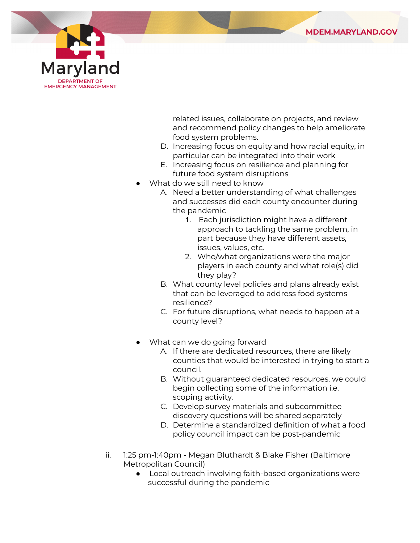



related issues, collaborate on projects, and review and recommend policy changes to help ameliorate food system problems.

- D. Increasing focus on equity and how racial equity, in particular can be integrated into their work
- E. Increasing focus on resilience and planning for future food system disruptions
- What do we still need to know
	- A. Need a better understanding of what challenges and successes did each county encounter during the pandemic
		- 1. Each jurisdiction might have a different approach to tackling the same problem, in part because they have different assets, issues, values, etc.
		- 2. Who/what organizations were the major players in each county and what role(s) did they play?
	- B. What county level policies and plans already exist that can be leveraged to address food systems resilience?
	- C. For future disruptions, what needs to happen at a county level?
- What can we do going forward
	- A. If there are dedicated resources, there are likely counties that would be interested in trying to start a council.
	- B. Without guaranteed dedicated resources, we could begin collecting some of the information i.e. scoping activity.
	- C. Develop survey materials and subcommittee discovery questions will be shared separately
	- D. Determine a standardized definition of what a food policy council impact can be post-pandemic
- ii. 1:25 pm-1:40pm Megan Bluthardt & Blake Fisher (Baltimore Metropolitan Council)
	- Local outreach involving faith-based organizations were successful during the pandemic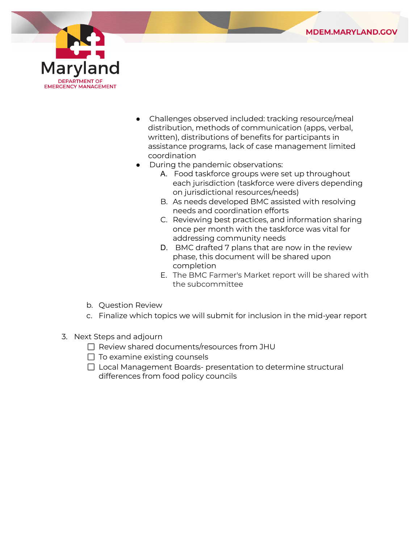



- Challenges observed included: tracking resource/meal distribution, methods of communication (apps, verbal, written), distributions of benefits for participants in assistance programs, lack of case management limited coordination
- During the pandemic observations:
	- A. Food taskforce groups were set up throughout each jurisdiction (taskforce were divers depending on jurisdictional resources/needs)
	- B. As needs developed BMC assisted with resolving needs and coordination efforts
	- C. Reviewing best practices, and information sharing once per month with the taskforce was vital for addressing community needs
	- D. BMC drafted 7 plans that are now in the review phase, this document will be shared upon completion
	- E. The BMC Farmer's Market report will be shared with the subcommittee
- b. Question Review
- c. Finalize which topics we will submit for inclusion in the mid-year report
- 3. Next Steps and adjourn
	- $\Box$  Review shared documents/resources from JHU
	- $\Box$  To examine existing counsels
	- $\Box$  Local Management Boards- presentation to determine structural differences from food policy councils